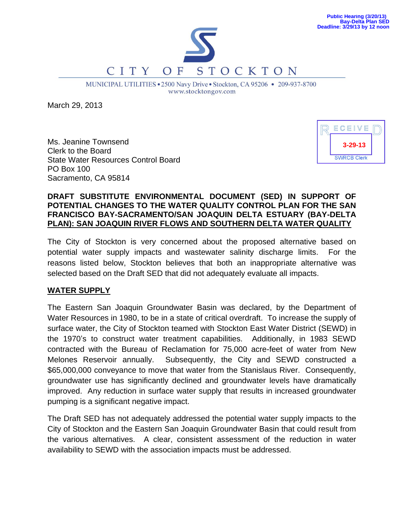

MUNICIPAL UTILITIES . 2500 Navy Drive . Stockton, CA 95206 . 209-937-8700 www.stocktongov.com

March 29, 2013

Ms. Jeanine Townsend Clerk to the Board State Water Resources Control Board PO Box 100 Sacramento, CA 95814



## **DRAFT SUBSTITUTE ENVIRONMENTAL DOCUMENT (SED) IN SUPPORT OF POTENTIAL CHANGES TO THE WATER QUALITY CONTROL PLAN FOR THE SAN FRANCISCO BAY-SACRAMENTO/SAN JOAQUIN DELTA ESTUARY (BAY-DELTA PLAN): SAN JOAQUIN RIVER FLOWS AND SOUTHERN DELTA WATER QUALITY**

The City of Stockton is very concerned about the proposed alternative based on potential water supply impacts and wastewater salinity discharge limits. For the reasons listed below, Stockton believes that both an inappropriate alternative was selected based on the Draft SED that did not adequately evaluate all impacts.

## **WATER SUPPLY**

The Eastern San Joaquin Groundwater Basin was declared, by the Department of Water Resources in 1980, to be in a state of critical overdraft. To increase the supply of surface water, the City of Stockton teamed with Stockton East Water District (SEWD) in the 1970's to construct water treatment capabilities. Additionally, in 1983 SEWD contracted with the Bureau of Reclamation for 75,000 acre-feet of water from New Melones Reservoir annually. Subsequently, the City and SEWD constructed a \$65,000,000 conveyance to move that water from the Stanislaus River. Consequently, groundwater use has significantly declined and groundwater levels have dramatically improved. Any reduction in surface water supply that results in increased groundwater pumping is a significant negative impact.

The Draft SED has not adequately addressed the potential water supply impacts to the City of Stockton and the Eastern San Joaquin Groundwater Basin that could result from the various alternatives. A clear, consistent assessment of the reduction in water availability to SEWD with the association impacts must be addressed.